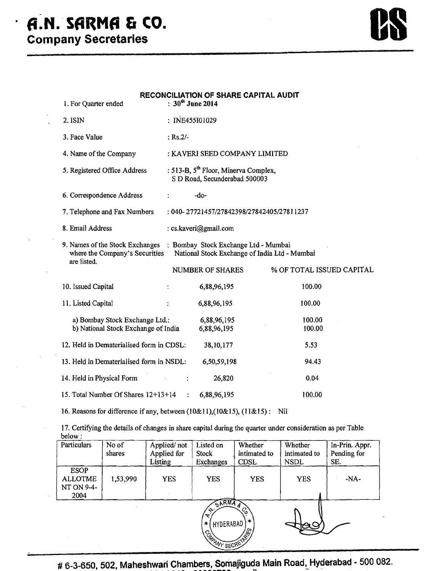## **4%~. SfiRMCs** *t* **CO. Company Secretaries**

 $\cdot$ 



| RECONCILIATION OF SHARE CAPITAL AUDIT<br>$: 30th$ June 2014<br>1. For Quarter ended                                                                                       |                                                                                   |                           |  |  |  |
|---------------------------------------------------------------------------------------------------------------------------------------------------------------------------|-----------------------------------------------------------------------------------|---------------------------|--|--|--|
| 2. ISIN                                                                                                                                                                   | : INE455I01029                                                                    |                           |  |  |  |
| 3. Face Value                                                                                                                                                             | $:$ Rs.2/-                                                                        |                           |  |  |  |
| 4. Name of the Company                                                                                                                                                    | : KAVERI SEED COMPANY LIMITED                                                     |                           |  |  |  |
| 5. Registered Office Address                                                                                                                                              | : 513-B, 5 <sup>th</sup> Floor, Minerva Complex,<br>S D Road, Secunderabad 500003 |                           |  |  |  |
| 6. Correspondence Address                                                                                                                                                 | -do-                                                                              |                           |  |  |  |
| 7. Telephone and Fax Numbers<br>: 040-27721457/27842398/27842405/27811237                                                                                                 |                                                                                   |                           |  |  |  |
| 8. Email Address                                                                                                                                                          | : cs.kaveri@gmail.com                                                             |                           |  |  |  |
| 9. Names of the Stock Exchanges<br>: Bombay Stock Exchange Ltd - Mumbai<br>where the Company's Securities<br>National Stock Exchange of India Ltd - Mumbai<br>are listed. |                                                                                   |                           |  |  |  |
|                                                                                                                                                                           | NUMBER OF SHARES                                                                  | % OF TOTAL ISSUED CAPITAL |  |  |  |
| 10. Issued Capital                                                                                                                                                        | 6,88,96,195<br>÷                                                                  | 100.00                    |  |  |  |
| 11. Listed Capital                                                                                                                                                        | 6,88,96,195<br>÷                                                                  | 100.00                    |  |  |  |
| a) Bombay Stock Exchange Ltd.:<br>b) National Stock Exchange of India                                                                                                     | 6,88,96,195<br>6,88,96,195                                                        | 100.00<br>100.00          |  |  |  |
| 12. Held in Dematerialised form in CDSL:                                                                                                                                  | 38, 10, 177                                                                       | 5.53                      |  |  |  |
| 13. Held in Dematerialised form in NSDL:                                                                                                                                  | 6,50,59,198                                                                       | 94.43                     |  |  |  |
| 14. Held in Physical Form                                                                                                                                                 | 26,820                                                                            | 0.04                      |  |  |  |
| 15. Total Number Of Shares 12+13+14                                                                                                                                       | 6,88,96,195<br>÷                                                                  | 100.00                    |  |  |  |

16. Reasons for difference if any, between (10&11),(10&15), **(1** 1&15) : Nil

17. Certifying the details of changes in share capital during the quarter under consideration as per Table below :

| Particulars                                                                                   | No of<br>shares | Applied/not<br>Applied for<br>Listing | Listed on<br><b>Stock</b><br>Exchanges | Whether<br>intimated to<br><b>CDSL</b> | Whether<br>intimated to<br><b>NSDL</b> | In-Prin. Appr.<br>Pending for<br>SE. |
|-----------------------------------------------------------------------------------------------|-----------------|---------------------------------------|----------------------------------------|----------------------------------------|----------------------------------------|--------------------------------------|
| <b>ESOP</b><br><b>ALLOTME</b><br>NT ON 9-4-<br>2004                                           | 1,53,990        | <b>YES</b>                            | <b>YES</b>                             | <b>YES</b>                             | <b>YES</b>                             | $-NA-$                               |
| <b>SARMA?</b><br><sup>C</sup> o<br>ᢦ<br>$\ast$<br>HYDERABAD<br>∗<br><b>CALIFORNY SECRETER</b> |                 |                                       |                                        |                                        |                                        |                                      |

# 6-3-650, 502, Maheshwari Chambers, Somajiguda Main Road, Hyderabad - 500 082.